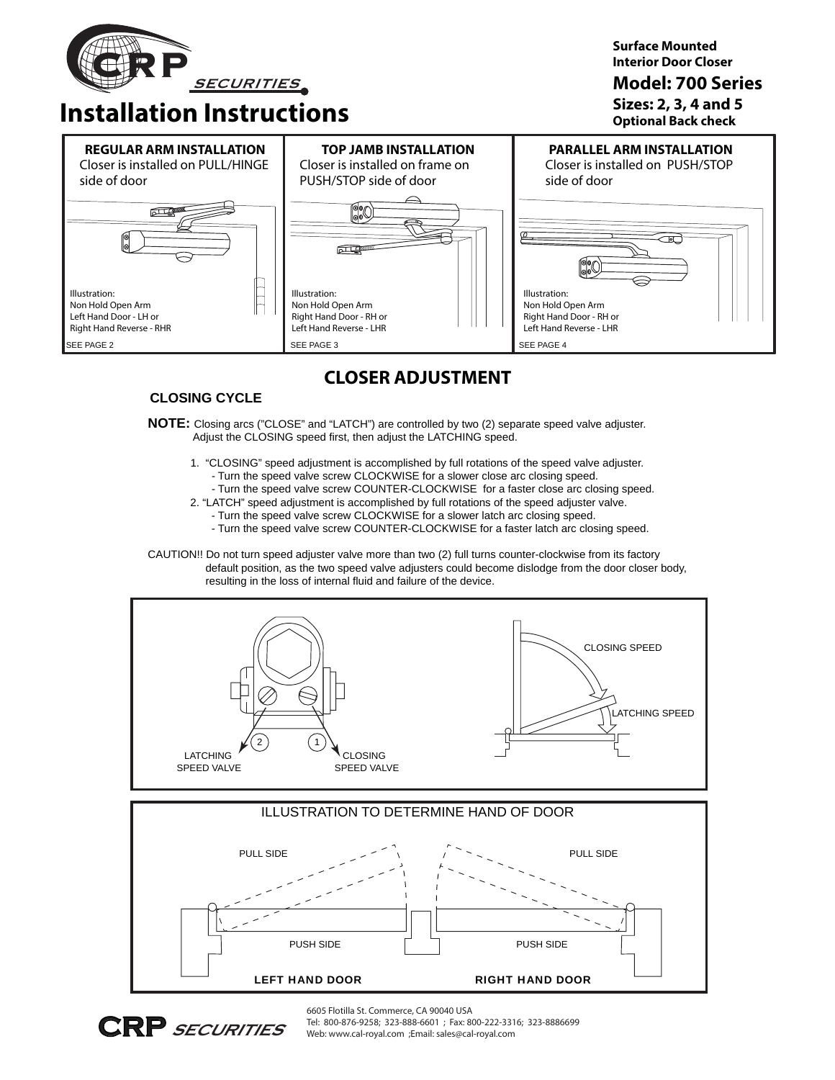

**Installation Instructions**

**Surface Mounted Interior Door Closer**

### **Model: 700 Series**

**Sizes: 2, 3, 4 and 5 Optional Back check**



## **CLOSER ADJUSTMENT**

### **CLOSING CYCLE**

### **NOTE:** Closing arcs ("CLOSE" and "LATCH") are controlled by two (2) separate speed valve adjuster. Adjust the CLOSING speed first, then adjust the LATCHING speed.

- 1. "CLOSING" speed adjustment is accomplished by full rotations of the speed valve adjuster.
	- Turn the speed valve screw CLOCKWISE for a slower close arc closing speed.
	- Turn the speed valve screw COUNTER-CLOCKWISE for a faster close arc closing speed.
- 2. "LATCH" speed adjustment is accomplished by full rotations of the speed adjuster valve.
	- Turn the speed valve screw CLOCKWISE for a slower latch arc closing speed.
	- Turn the speed valve screw COUNTER-CLOCKWISE for a faster latch arc closing speed.

CAUTION!! Do not turn speed adjuster valve more than two (2) full turns counter-clockwise from its factory default position, as the two speed valve adjusters could become dislodge from the door closer body, resulting in the loss of internal fluid and failure of the device.







6605 Flotilla St. Commerce, CA 90040 USA Tel: 800-876-9258; 323-888-6601 ; Fax: 800-222-3316; 323-8886699 Web: www.cal-royal.com ;Email: sales@cal-royal.com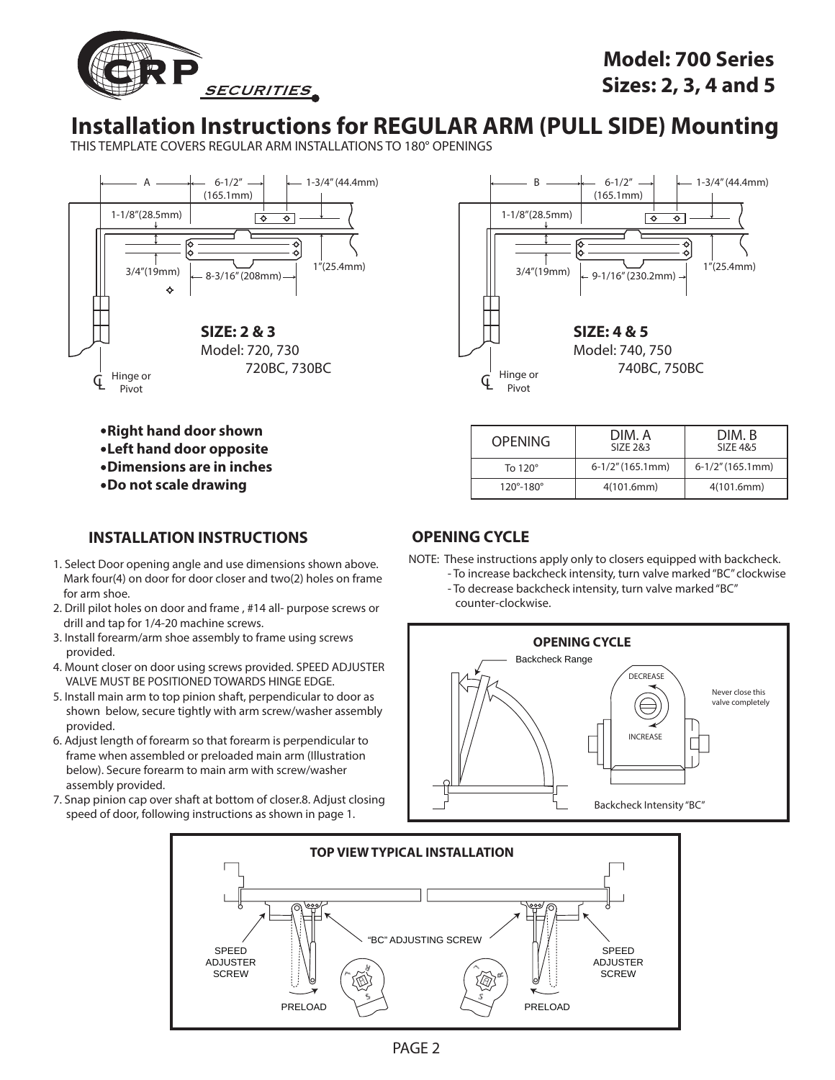

## **Model: 700 Series Sizes: 2, 3, 4 and 5**

## **Installation Instructions for REGULAR ARM (PULL SIDE) Mounting**

THIS TEMPLATE COVERS REGULAR ARM INSTALLATIONS TO 180° OPENINGS





| <b>OPENING</b>              | DIM. A<br>SIZE 2&3  | DIM. B<br>SIZE 4&5 |  |
|-----------------------------|---------------------|--------------------|--|
| To $120^\circ$              | $6-1/2$ " (165.1mm) | 6-1/2" (165.1mm)   |  |
| $120^{\circ} - 180^{\circ}$ | 4(101.6mm)          | 4(101.6mm)         |  |

**Right hand door shown Left hand door opposite Dimensions are in inches Do not scale drawing**

### **INSTALLATION INSTRUCTIONS OPENING CYCLE**

- 1. Select Door opening angle and use dimensions shown above. Mark four(4) on door for door closer and two(2) holes on frame for arm shoe.
- 2. Drill pilot holes on door and frame , #14 all- purpose screws or drill and tap for 1/4-20 machine screws.
- 3. Install forearm/arm shoe assembly to frame using screws provided.
- 4. Mount closer on door using screws provided. SPEED ADJUSTER VALVE MUST BE POSITIONED TOWARDS HINGE EDGE.
- 5. Install main arm to top pinion shaft, perpendicular to door as shown below, secure tightly with arm screw/washer assembly provided.
- 6. Adjust length of forearm so that forearm is perpendicular to frame when assembled or preloaded main arm (Illustration below). Secure forearm to main arm with screw/washer assembly provided.
- 7. Snap pinion cap over shaft at bottom of closer.8. Adjust closing speed of door, following instructions as shown in page 1.

NOTE: These instructions apply only to closers equipped with backcheck.

- To increase backcheck intensity, turn valve marked "BC" clockwise - To decrease backcheck intensity, turn valve marked "BC"
	- counter-clockwise.



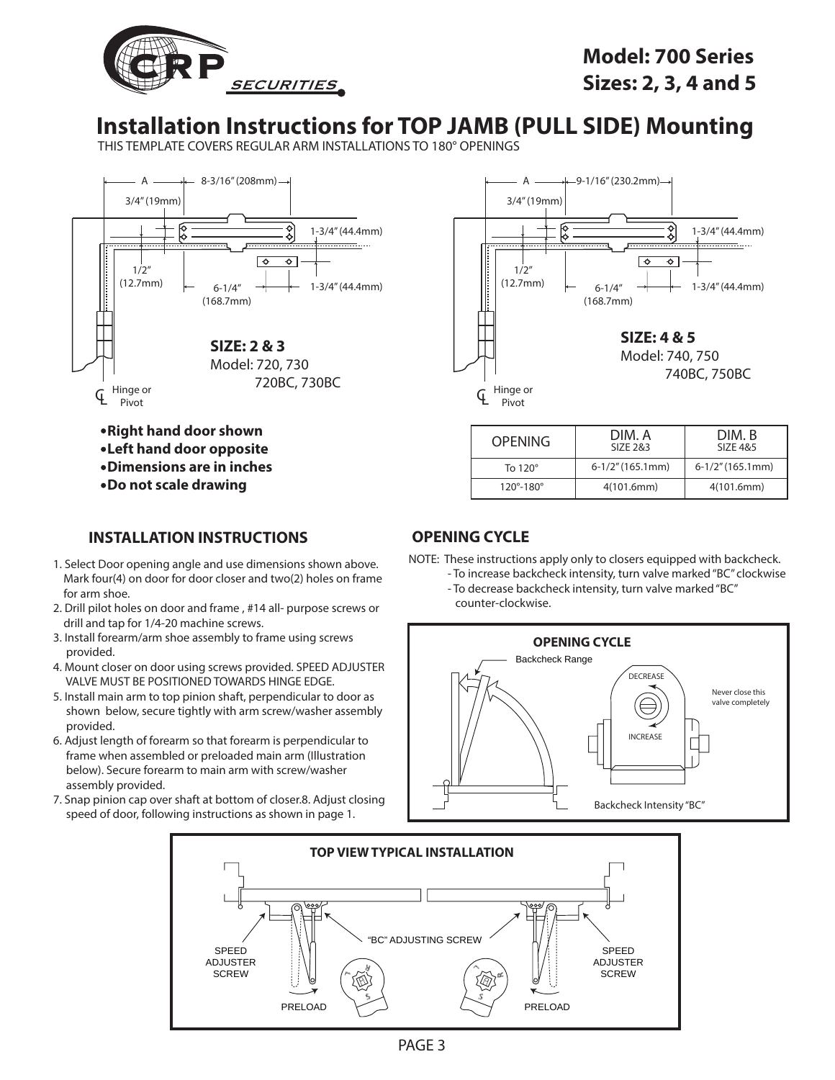

## **Installation Instructions for TOP JAMB (PULL SIDE) Mounting**

THIS TEMPLATE COVERS REGULAR ARM INSTALLATIONS TO 180° OPENINGS



- **Left hand door opposite**
- **Dimensions are in inches**
- 
- **Do not scale drawing**

### **INSTALLATION INSTRUCTIONS OPENING CYCLE**

- 1. Select Door opening angle and use dimensions shown above. Mark four(4) on door for door closer and two(2) holes on frame for arm shoe.
- 2. Drill pilot holes on door and frame , #14 all- purpose screws or drill and tap for 1/4-20 machine screws.
- 3. Install forearm/arm shoe assembly to frame using screws provided.
- 4. Mount closer on door using screws provided. SPEED ADJUSTER VALVE MUST BE POSITIONED TOWARDS HINGE EDGE.
- 5. Install main arm to top pinion shaft, perpendicular to door as shown below, secure tightly with arm screw/washer assembly provided.
- 6. Adjust length of forearm so that forearm is perpendicular to frame when assembled or preloaded main arm (Illustration below). Secure forearm to main arm with screw/washer assembly provided.
- 7. Snap pinion cap over shaft at bottom of closer.8. Adjust closing speed of door, following instructions as shown in page 1.



| <b>OPENING</b>              | DIM. A<br>SIZE 2&3  | DIM. B<br>SIZE 4&5  |  |
|-----------------------------|---------------------|---------------------|--|
| To $120^\circ$              | $6-1/2$ " (165.1mm) | $6-1/2$ " (165.1mm) |  |
| $120^{\circ} - 180^{\circ}$ | 4(101.6mm)          | 4(101.6mm)          |  |

NOTE: These instructions apply only to closers equipped with backcheck.

- To increase backcheck intensity, turn valve marked "BC" clockwise - To decrease backcheck intensity, turn valve marked "BC"
	- counter-clockwise.